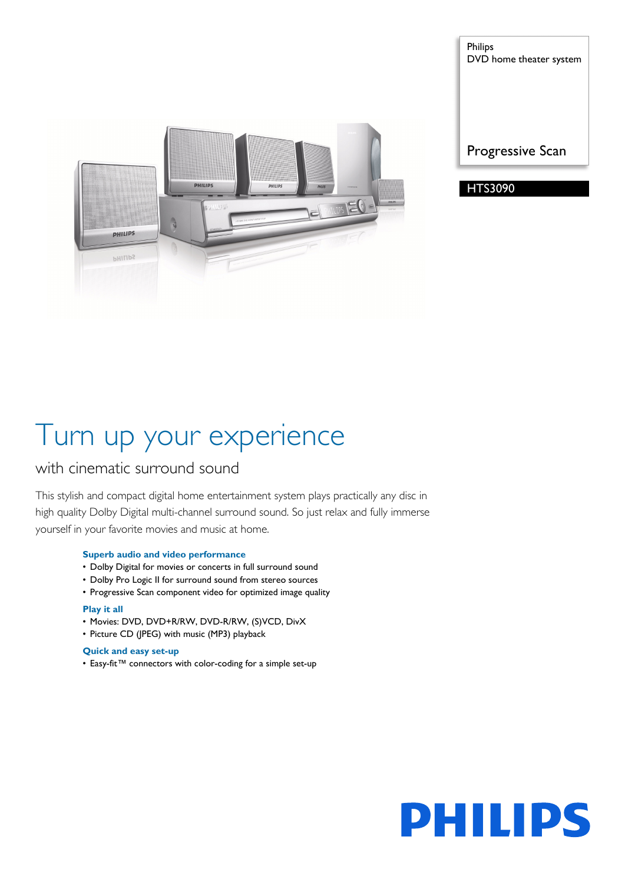

Philips DVD home theater system



# Turn up your experience

### with cinematic surround sound

This stylish and compact digital home entertainment system plays practically any disc in high quality Dolby Digital multi-channel surround sound. So just relax and fully immerse yourself in your favorite movies and music at home.

#### **Superb audio and video performance**

- Dolby Digital for movies or concerts in full surround sound
- Dolby Pro Logic II for surround sound from stereo sources
- Progressive Scan component video for optimized image quality

#### **Play it all**

- Movies: DVD, DVD+R/RW, DVD-R/RW, (S)VCD, DivX
- Picture CD (JPEG) with music (MP3) playback

#### **Quick and easy set-up**

• Easy-fit™ connectors with color-coding for a simple set-up